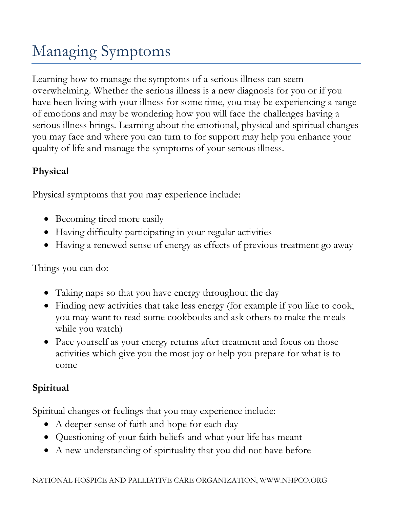## Managing Symptoms

Learning how to manage the symptoms of a serious illness can seem overwhelming. Whether the serious illness is a new diagnosis for you or if you have been living with your illness for some time, you may be experiencing a range of emotions and may be wondering how you will face the challenges having a serious illness brings. Learning about the emotional, physical and spiritual changes you may face and where you can turn to for support may help you enhance your quality of life and manage the symptoms of your serious illness.

## **Physical**

Physical symptoms that you may experience include:

- Becoming tired more easily
- Having difficulty participating in your regular activities
- Having a renewed sense of energy as effects of previous treatment go away

Things you can do:

- Taking naps so that you have energy throughout the day
- Finding new activities that take less energy (for example if you like to cook, you may want to read some cookbooks and ask others to make the meals while you watch)
- Pace yourself as your energy returns after treatment and focus on those activities which give you the most joy or help you prepare for what is to come

## **Spiritual**

Spiritual changes or feelings that you may experience include:

- A deeper sense of faith and hope for each day
- Questioning of your faith beliefs and what your life has meant
- A new understanding of spirituality that you did not have before